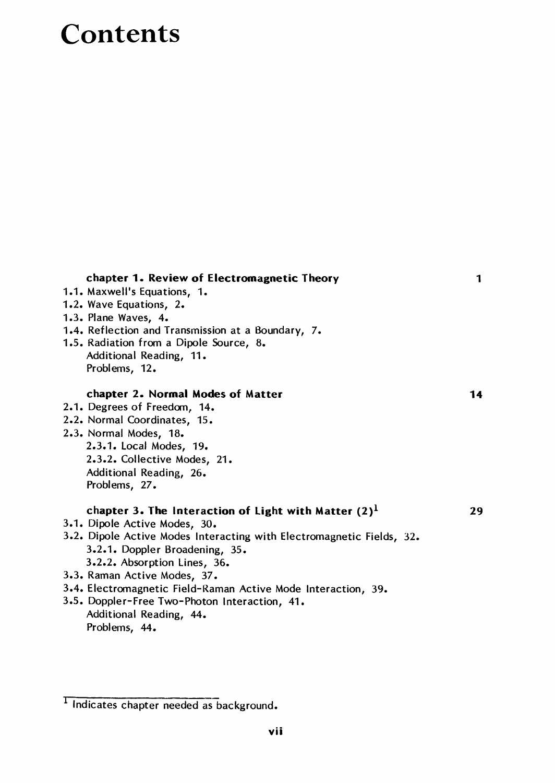## Contents

| chapter 1. Review of Electromagnetic Theory                           | 1  |
|-----------------------------------------------------------------------|----|
| 1.1. Maxwell's Equations, 1.                                          |    |
| 1.2. Wave Equations, 2.                                               |    |
| 1.3. Plane Waves, 4.                                                  |    |
| 1.4. Reflection and Transmission at a Boundary, 7.                    |    |
| 1.5. Radiation from a Dipole Source, 8.                               |    |
| Additional Reading, 11.                                               |    |
| Problems, 12.                                                         |    |
| chapter 2. Normal Modes of Matter                                     | 14 |
| 2.1. Degrees of Freedom, 14.                                          |    |
| 2.2. Normal Coordinates, 15.                                          |    |
| 2.3. Normal Modes, 18.                                                |    |
| 2.3.1. Local Modes, 19.                                               |    |
| 2.3.2. Collective Modes, 21.                                          |    |
| Additional Reading, 26.                                               |    |
| Problems, 27.                                                         |    |
| chapter 3. The Interaction of Light with Matter $(2)^1$               | 29 |
| 3.1. Dipole Active Modes, 30.                                         |    |
| 3.2. Dipole Active Modes Interacting with Electromagnetic Fields, 32. |    |
| 3.2.1. Doppler Broadening, 35.                                        |    |
| 3.2.2. Absorption Lines, 36.                                          |    |
| 3.3. Raman Active Modes, 37.                                          |    |
| 3.4. Electromagnetic Field-Raman Active Mode Interaction, 39.         |    |
| 3.5. Doppler-Free Two-Photon Interaction, 41.                         |    |
| Additional Reading, 44.                                               |    |
| Problems, 44.                                                         |    |
|                                                                       |    |

Indicates chapter needed as background.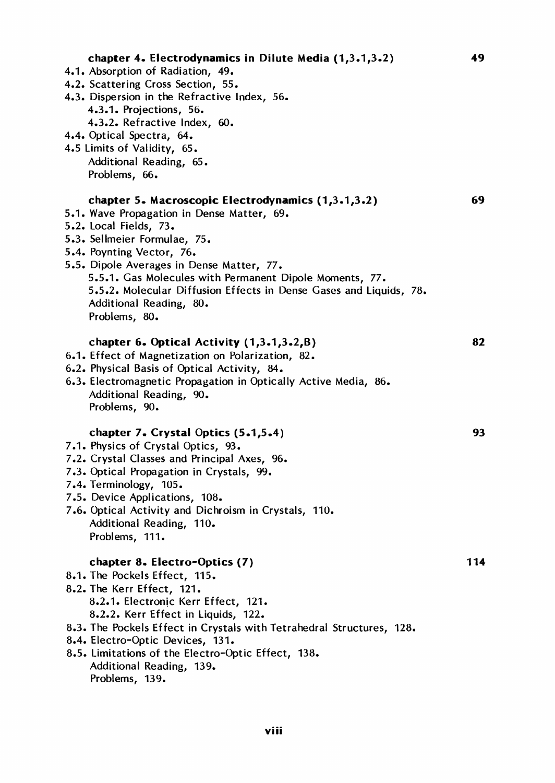| chapter 4. Electrodynamics in Dilute Media (1,3.1,3.2)<br>4.1. Absorption of Radiation, 49.<br>4.2. Scattering Cross Section, 55.<br>4.3. Dispersion in the Refractive Index, 56.<br>4.3.1. Projections, 56.<br>4.3.2. Refractive Index, 60.<br>4.4. Optical Spectra, 64.<br>4.5 Limits of Validity, 65.<br>Additional Reading, 65.<br>Problems, 66.                                                              | 49  |
|-------------------------------------------------------------------------------------------------------------------------------------------------------------------------------------------------------------------------------------------------------------------------------------------------------------------------------------------------------------------------------------------------------------------|-----|
| chapter 5. Macroscopic Electrodynamics (1,3.1,3.2)<br>5.1. Wave Propagation in Dense Matter, 69.<br>5.2. Local Fields, 73.<br>5.3. Sellmeier Formulae, 75.<br>5.4. Poynting Vector, 76.<br>5.5. Dipole Averages in Dense Matter, 77.<br>5.5.1. Gas Molecules with Permanent Dipole Moments, 77.<br>5.5.2. Molecular Diffusion Effects in Dense Gases and Liquids, 78.<br>Additional Reading, 80.<br>Problems, 80. | 69  |
| chapter 6. Optical Activity $(1,3.1,3.2,B)$<br>6.1. Effect of Magnetization on Polarization, 82.<br>6.2. Physical Basis of Optical Activity, 84.<br>6.3. Electromagnetic Propagation in Optically Active Media, 86.<br>Additional Reading, 90.<br>Problems, 90.                                                                                                                                                   | 82  |
| chapter 7. Crystal Optics (5.1,5.4)<br>7.1. Physics of Crystal Optics, 93.<br>7.2. Crystal Classes and Principal Axes, 96.<br>7.3. Optical Propagation in Crystals, 99.<br>7.4. Terminology, 105.<br>7.5. Device Applications, 108.<br>7.6. Optical Activity and Dichroism in Crystals, 110.<br>Additional Reading, 110.<br>Problems, 111.                                                                        | 93  |
| chapter 8. Electro-Optics (7)<br>8.1. The Pockels Effect, 115.<br>8.2. The Kerr Effect, 121.<br>8.2.1. Electronic Kerr Effect, 121.<br>8.2.2. Kerr Effect in Liquids, 122.<br>8.3. The Pockels Effect in Crystals with Tetrahedral Structures, 128.<br>8.4. Electro-Optic Devices, 131.<br>8.5. Limitations of the Electro-Optic Effect, 138.<br>Additional Reading, 139.<br>Problems, 139.                       | 114 |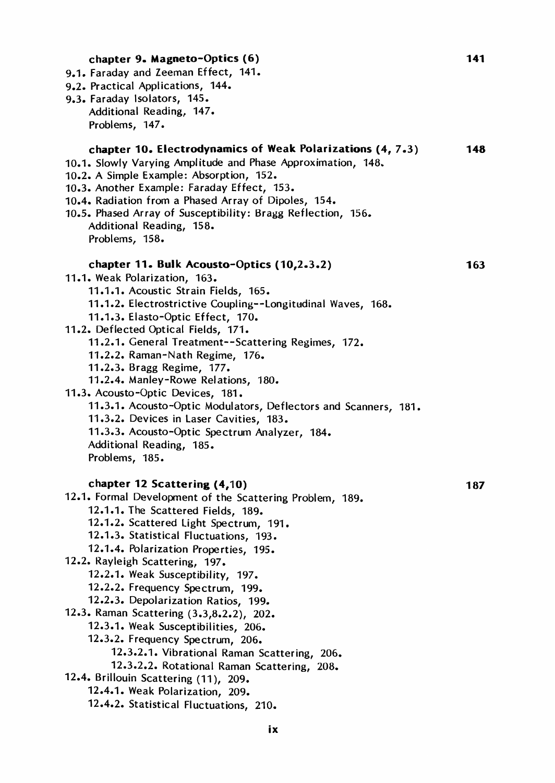| 9.2. Practical Applications, 144.<br>9.3. Faraday Isolators, 145.<br>Additional Reading, 147.<br>Problems, 147.<br>chapter 10. Electrodynamics of Weak Polarizations (4, 7.3)<br>14<br>10.2. A Simple Example: Absorption, 152.<br>10.4. Radiation from a Phased Array of Dipoles, 154.<br>10.5. Phased Array of Susceptibility: Bragg Reflection, 156.<br>Additional Reading, 158.<br>Problems, 158.<br>chapter 11. Bulk Acousto-Optics (10,2.3.2)<br>16.<br>11.1. Weak Polarization, 163.<br>11.1.1. Acoustic Strain Fields, 165.<br>11.1.2. Electrostrictive Coupling--Longitudinal Waves, 168.<br>11.1.3. Elasto-Optic Effect, 170.<br>11.2. Deflected Optical Fields, 171.<br>11.2.1. General Treatment--Scattering Regimes, 172.<br>11.2.2. Raman-Nath Regime, 176.<br>11.2.3. Bragg Regime, 177.<br>11.2.4. Manley-Rowe Relations, 180.<br>11.3. Acousto-Optic Devices, 181.<br>11.3.1. Acousto-Optic Modulators, Deflectors and Scanners, 181.<br>11.3.2. Devices in Laser Cavities, 183.<br>11.3.3. Acousto-Optic Spectrum Analyzer, 184.<br>Additional Reading, 185.<br>Problems, 185.<br>chapter 12 Scattering (4,10)<br>18<br>12.1. Formal Development of the Scattering Problem, 189.<br>12.1.1. The Scattered Fields, 189.<br>12.1.2. Scattered Light Spectrum, 191.<br>12.1.3. Statistical Fluctuations, 193.<br>12.1.4. Polarization Properties, 195.<br>12.2. Rayleigh Scattering, 197.<br>12.2.1. Weak Susceptibility, 197.<br>12.2.2. Frequency Spectrum, 199.<br>12.2.3. Depolarization Ratios, 199.<br>12.3. Raman Scattering (3.3,8.2.2), 202.<br>12.3.1. Weak Susceptibilities, 206.<br>12.3.2. Frequency Spectrum, 206.<br>12.3.2.1. Vibrational Raman Scattering, 206.<br>12.3.2.2. Rotational Raman Scattering, 208.<br>12.4. Brillouin Scattering (11), 209.<br>12.4.1. Weak Polarization, 209.<br>12.4.2. Statistical Fluctuations, 210.<br>ix | chapter 9. Magneto-Optics (6)                                | 14 <sup>°</sup> |
|----------------------------------------------------------------------------------------------------------------------------------------------------------------------------------------------------------------------------------------------------------------------------------------------------------------------------------------------------------------------------------------------------------------------------------------------------------------------------------------------------------------------------------------------------------------------------------------------------------------------------------------------------------------------------------------------------------------------------------------------------------------------------------------------------------------------------------------------------------------------------------------------------------------------------------------------------------------------------------------------------------------------------------------------------------------------------------------------------------------------------------------------------------------------------------------------------------------------------------------------------------------------------------------------------------------------------------------------------------------------------------------------------------------------------------------------------------------------------------------------------------------------------------------------------------------------------------------------------------------------------------------------------------------------------------------------------------------------------------------------------------------------------------------------------------------------------------------------------------------------------|--------------------------------------------------------------|-----------------|
|                                                                                                                                                                                                                                                                                                                                                                                                                                                                                                                                                                                                                                                                                                                                                                                                                                                                                                                                                                                                                                                                                                                                                                                                                                                                                                                                                                                                                                                                                                                                                                                                                                                                                                                                                                                                                                                                            | 9.1. Faraday and Zeeman Effect, 141.                         |                 |
|                                                                                                                                                                                                                                                                                                                                                                                                                                                                                                                                                                                                                                                                                                                                                                                                                                                                                                                                                                                                                                                                                                                                                                                                                                                                                                                                                                                                                                                                                                                                                                                                                                                                                                                                                                                                                                                                            |                                                              |                 |
|                                                                                                                                                                                                                                                                                                                                                                                                                                                                                                                                                                                                                                                                                                                                                                                                                                                                                                                                                                                                                                                                                                                                                                                                                                                                                                                                                                                                                                                                                                                                                                                                                                                                                                                                                                                                                                                                            |                                                              |                 |
|                                                                                                                                                                                                                                                                                                                                                                                                                                                                                                                                                                                                                                                                                                                                                                                                                                                                                                                                                                                                                                                                                                                                                                                                                                                                                                                                                                                                                                                                                                                                                                                                                                                                                                                                                                                                                                                                            |                                                              |                 |
|                                                                                                                                                                                                                                                                                                                                                                                                                                                                                                                                                                                                                                                                                                                                                                                                                                                                                                                                                                                                                                                                                                                                                                                                                                                                                                                                                                                                                                                                                                                                                                                                                                                                                                                                                                                                                                                                            |                                                              |                 |
|                                                                                                                                                                                                                                                                                                                                                                                                                                                                                                                                                                                                                                                                                                                                                                                                                                                                                                                                                                                                                                                                                                                                                                                                                                                                                                                                                                                                                                                                                                                                                                                                                                                                                                                                                                                                                                                                            |                                                              |                 |
|                                                                                                                                                                                                                                                                                                                                                                                                                                                                                                                                                                                                                                                                                                                                                                                                                                                                                                                                                                                                                                                                                                                                                                                                                                                                                                                                                                                                                                                                                                                                                                                                                                                                                                                                                                                                                                                                            | 10.1. Slowly Varying Amplitude and Phase Approximation, 148. |                 |
|                                                                                                                                                                                                                                                                                                                                                                                                                                                                                                                                                                                                                                                                                                                                                                                                                                                                                                                                                                                                                                                                                                                                                                                                                                                                                                                                                                                                                                                                                                                                                                                                                                                                                                                                                                                                                                                                            |                                                              |                 |
|                                                                                                                                                                                                                                                                                                                                                                                                                                                                                                                                                                                                                                                                                                                                                                                                                                                                                                                                                                                                                                                                                                                                                                                                                                                                                                                                                                                                                                                                                                                                                                                                                                                                                                                                                                                                                                                                            | 10.3. Another Example: Faraday Effect, 153.                  |                 |
|                                                                                                                                                                                                                                                                                                                                                                                                                                                                                                                                                                                                                                                                                                                                                                                                                                                                                                                                                                                                                                                                                                                                                                                                                                                                                                                                                                                                                                                                                                                                                                                                                                                                                                                                                                                                                                                                            |                                                              |                 |
|                                                                                                                                                                                                                                                                                                                                                                                                                                                                                                                                                                                                                                                                                                                                                                                                                                                                                                                                                                                                                                                                                                                                                                                                                                                                                                                                                                                                                                                                                                                                                                                                                                                                                                                                                                                                                                                                            |                                                              |                 |
|                                                                                                                                                                                                                                                                                                                                                                                                                                                                                                                                                                                                                                                                                                                                                                                                                                                                                                                                                                                                                                                                                                                                                                                                                                                                                                                                                                                                                                                                                                                                                                                                                                                                                                                                                                                                                                                                            |                                                              |                 |
|                                                                                                                                                                                                                                                                                                                                                                                                                                                                                                                                                                                                                                                                                                                                                                                                                                                                                                                                                                                                                                                                                                                                                                                                                                                                                                                                                                                                                                                                                                                                                                                                                                                                                                                                                                                                                                                                            |                                                              |                 |
|                                                                                                                                                                                                                                                                                                                                                                                                                                                                                                                                                                                                                                                                                                                                                                                                                                                                                                                                                                                                                                                                                                                                                                                                                                                                                                                                                                                                                                                                                                                                                                                                                                                                                                                                                                                                                                                                            |                                                              |                 |
|                                                                                                                                                                                                                                                                                                                                                                                                                                                                                                                                                                                                                                                                                                                                                                                                                                                                                                                                                                                                                                                                                                                                                                                                                                                                                                                                                                                                                                                                                                                                                                                                                                                                                                                                                                                                                                                                            |                                                              |                 |
|                                                                                                                                                                                                                                                                                                                                                                                                                                                                                                                                                                                                                                                                                                                                                                                                                                                                                                                                                                                                                                                                                                                                                                                                                                                                                                                                                                                                                                                                                                                                                                                                                                                                                                                                                                                                                                                                            |                                                              |                 |
|                                                                                                                                                                                                                                                                                                                                                                                                                                                                                                                                                                                                                                                                                                                                                                                                                                                                                                                                                                                                                                                                                                                                                                                                                                                                                                                                                                                                                                                                                                                                                                                                                                                                                                                                                                                                                                                                            |                                                              |                 |
|                                                                                                                                                                                                                                                                                                                                                                                                                                                                                                                                                                                                                                                                                                                                                                                                                                                                                                                                                                                                                                                                                                                                                                                                                                                                                                                                                                                                                                                                                                                                                                                                                                                                                                                                                                                                                                                                            |                                                              |                 |
|                                                                                                                                                                                                                                                                                                                                                                                                                                                                                                                                                                                                                                                                                                                                                                                                                                                                                                                                                                                                                                                                                                                                                                                                                                                                                                                                                                                                                                                                                                                                                                                                                                                                                                                                                                                                                                                                            |                                                              |                 |
|                                                                                                                                                                                                                                                                                                                                                                                                                                                                                                                                                                                                                                                                                                                                                                                                                                                                                                                                                                                                                                                                                                                                                                                                                                                                                                                                                                                                                                                                                                                                                                                                                                                                                                                                                                                                                                                                            |                                                              |                 |
|                                                                                                                                                                                                                                                                                                                                                                                                                                                                                                                                                                                                                                                                                                                                                                                                                                                                                                                                                                                                                                                                                                                                                                                                                                                                                                                                                                                                                                                                                                                                                                                                                                                                                                                                                                                                                                                                            |                                                              |                 |
|                                                                                                                                                                                                                                                                                                                                                                                                                                                                                                                                                                                                                                                                                                                                                                                                                                                                                                                                                                                                                                                                                                                                                                                                                                                                                                                                                                                                                                                                                                                                                                                                                                                                                                                                                                                                                                                                            |                                                              |                 |
|                                                                                                                                                                                                                                                                                                                                                                                                                                                                                                                                                                                                                                                                                                                                                                                                                                                                                                                                                                                                                                                                                                                                                                                                                                                                                                                                                                                                                                                                                                                                                                                                                                                                                                                                                                                                                                                                            |                                                              |                 |
|                                                                                                                                                                                                                                                                                                                                                                                                                                                                                                                                                                                                                                                                                                                                                                                                                                                                                                                                                                                                                                                                                                                                                                                                                                                                                                                                                                                                                                                                                                                                                                                                                                                                                                                                                                                                                                                                            |                                                              |                 |
|                                                                                                                                                                                                                                                                                                                                                                                                                                                                                                                                                                                                                                                                                                                                                                                                                                                                                                                                                                                                                                                                                                                                                                                                                                                                                                                                                                                                                                                                                                                                                                                                                                                                                                                                                                                                                                                                            |                                                              |                 |
|                                                                                                                                                                                                                                                                                                                                                                                                                                                                                                                                                                                                                                                                                                                                                                                                                                                                                                                                                                                                                                                                                                                                                                                                                                                                                                                                                                                                                                                                                                                                                                                                                                                                                                                                                                                                                                                                            |                                                              |                 |
|                                                                                                                                                                                                                                                                                                                                                                                                                                                                                                                                                                                                                                                                                                                                                                                                                                                                                                                                                                                                                                                                                                                                                                                                                                                                                                                                                                                                                                                                                                                                                                                                                                                                                                                                                                                                                                                                            |                                                              |                 |
|                                                                                                                                                                                                                                                                                                                                                                                                                                                                                                                                                                                                                                                                                                                                                                                                                                                                                                                                                                                                                                                                                                                                                                                                                                                                                                                                                                                                                                                                                                                                                                                                                                                                                                                                                                                                                                                                            |                                                              |                 |
|                                                                                                                                                                                                                                                                                                                                                                                                                                                                                                                                                                                                                                                                                                                                                                                                                                                                                                                                                                                                                                                                                                                                                                                                                                                                                                                                                                                                                                                                                                                                                                                                                                                                                                                                                                                                                                                                            |                                                              |                 |
|                                                                                                                                                                                                                                                                                                                                                                                                                                                                                                                                                                                                                                                                                                                                                                                                                                                                                                                                                                                                                                                                                                                                                                                                                                                                                                                                                                                                                                                                                                                                                                                                                                                                                                                                                                                                                                                                            |                                                              |                 |
|                                                                                                                                                                                                                                                                                                                                                                                                                                                                                                                                                                                                                                                                                                                                                                                                                                                                                                                                                                                                                                                                                                                                                                                                                                                                                                                                                                                                                                                                                                                                                                                                                                                                                                                                                                                                                                                                            |                                                              |                 |
|                                                                                                                                                                                                                                                                                                                                                                                                                                                                                                                                                                                                                                                                                                                                                                                                                                                                                                                                                                                                                                                                                                                                                                                                                                                                                                                                                                                                                                                                                                                                                                                                                                                                                                                                                                                                                                                                            |                                                              |                 |
|                                                                                                                                                                                                                                                                                                                                                                                                                                                                                                                                                                                                                                                                                                                                                                                                                                                                                                                                                                                                                                                                                                                                                                                                                                                                                                                                                                                                                                                                                                                                                                                                                                                                                                                                                                                                                                                                            |                                                              |                 |
|                                                                                                                                                                                                                                                                                                                                                                                                                                                                                                                                                                                                                                                                                                                                                                                                                                                                                                                                                                                                                                                                                                                                                                                                                                                                                                                                                                                                                                                                                                                                                                                                                                                                                                                                                                                                                                                                            |                                                              |                 |
|                                                                                                                                                                                                                                                                                                                                                                                                                                                                                                                                                                                                                                                                                                                                                                                                                                                                                                                                                                                                                                                                                                                                                                                                                                                                                                                                                                                                                                                                                                                                                                                                                                                                                                                                                                                                                                                                            |                                                              |                 |
|                                                                                                                                                                                                                                                                                                                                                                                                                                                                                                                                                                                                                                                                                                                                                                                                                                                                                                                                                                                                                                                                                                                                                                                                                                                                                                                                                                                                                                                                                                                                                                                                                                                                                                                                                                                                                                                                            |                                                              |                 |
|                                                                                                                                                                                                                                                                                                                                                                                                                                                                                                                                                                                                                                                                                                                                                                                                                                                                                                                                                                                                                                                                                                                                                                                                                                                                                                                                                                                                                                                                                                                                                                                                                                                                                                                                                                                                                                                                            |                                                              |                 |
|                                                                                                                                                                                                                                                                                                                                                                                                                                                                                                                                                                                                                                                                                                                                                                                                                                                                                                                                                                                                                                                                                                                                                                                                                                                                                                                                                                                                                                                                                                                                                                                                                                                                                                                                                                                                                                                                            |                                                              |                 |
|                                                                                                                                                                                                                                                                                                                                                                                                                                                                                                                                                                                                                                                                                                                                                                                                                                                                                                                                                                                                                                                                                                                                                                                                                                                                                                                                                                                                                                                                                                                                                                                                                                                                                                                                                                                                                                                                            |                                                              |                 |
|                                                                                                                                                                                                                                                                                                                                                                                                                                                                                                                                                                                                                                                                                                                                                                                                                                                                                                                                                                                                                                                                                                                                                                                                                                                                                                                                                                                                                                                                                                                                                                                                                                                                                                                                                                                                                                                                            |                                                              |                 |
|                                                                                                                                                                                                                                                                                                                                                                                                                                                                                                                                                                                                                                                                                                                                                                                                                                                                                                                                                                                                                                                                                                                                                                                                                                                                                                                                                                                                                                                                                                                                                                                                                                                                                                                                                                                                                                                                            |                                                              |                 |
|                                                                                                                                                                                                                                                                                                                                                                                                                                                                                                                                                                                                                                                                                                                                                                                                                                                                                                                                                                                                                                                                                                                                                                                                                                                                                                                                                                                                                                                                                                                                                                                                                                                                                                                                                                                                                                                                            |                                                              |                 |
|                                                                                                                                                                                                                                                                                                                                                                                                                                                                                                                                                                                                                                                                                                                                                                                                                                                                                                                                                                                                                                                                                                                                                                                                                                                                                                                                                                                                                                                                                                                                                                                                                                                                                                                                                                                                                                                                            |                                                              |                 |
|                                                                                                                                                                                                                                                                                                                                                                                                                                                                                                                                                                                                                                                                                                                                                                                                                                                                                                                                                                                                                                                                                                                                                                                                                                                                                                                                                                                                                                                                                                                                                                                                                                                                                                                                                                                                                                                                            |                                                              |                 |
|                                                                                                                                                                                                                                                                                                                                                                                                                                                                                                                                                                                                                                                                                                                                                                                                                                                                                                                                                                                                                                                                                                                                                                                                                                                                                                                                                                                                                                                                                                                                                                                                                                                                                                                                                                                                                                                                            |                                                              |                 |
|                                                                                                                                                                                                                                                                                                                                                                                                                                                                                                                                                                                                                                                                                                                                                                                                                                                                                                                                                                                                                                                                                                                                                                                                                                                                                                                                                                                                                                                                                                                                                                                                                                                                                                                                                                                                                                                                            |                                                              |                 |
|                                                                                                                                                                                                                                                                                                                                                                                                                                                                                                                                                                                                                                                                                                                                                                                                                                                                                                                                                                                                                                                                                                                                                                                                                                                                                                                                                                                                                                                                                                                                                                                                                                                                                                                                                                                                                                                                            |                                                              |                 |
|                                                                                                                                                                                                                                                                                                                                                                                                                                                                                                                                                                                                                                                                                                                                                                                                                                                                                                                                                                                                                                                                                                                                                                                                                                                                                                                                                                                                                                                                                                                                                                                                                                                                                                                                                                                                                                                                            |                                                              |                 |
|                                                                                                                                                                                                                                                                                                                                                                                                                                                                                                                                                                                                                                                                                                                                                                                                                                                                                                                                                                                                                                                                                                                                                                                                                                                                                                                                                                                                                                                                                                                                                                                                                                                                                                                                                                                                                                                                            |                                                              |                 |